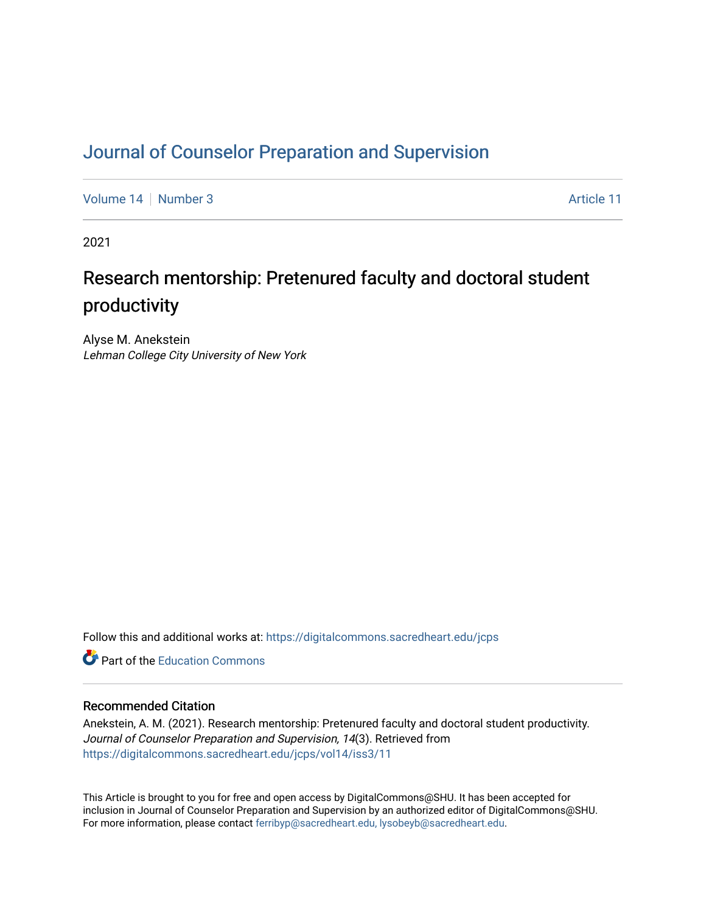# [Journal of Counselor Preparation and Supervision](https://digitalcommons.sacredheart.edu/jcps)

[Volume 14](https://digitalcommons.sacredheart.edu/jcps/vol14) [Number 3](https://digitalcommons.sacredheart.edu/jcps/vol14/iss3) Article 11

2021

# Research mentorship: Pretenured faculty and doctoral student productivity

Alyse M. Anekstein Lehman College City University of New York

Follow this and additional works at: [https://digitalcommons.sacredheart.edu/jcps](https://digitalcommons.sacredheart.edu/jcps?utm_source=digitalcommons.sacredheart.edu%2Fjcps%2Fvol14%2Fiss3%2F11&utm_medium=PDF&utm_campaign=PDFCoverPages) 

**C** Part of the [Education Commons](http://network.bepress.com/hgg/discipline/784?utm_source=digitalcommons.sacredheart.edu%2Fjcps%2Fvol14%2Fiss3%2F11&utm_medium=PDF&utm_campaign=PDFCoverPages)

# Recommended Citation

Anekstein, A. M. (2021). Research mentorship: Pretenured faculty and doctoral student productivity. Journal of Counselor Preparation and Supervision, 14(3). Retrieved from [https://digitalcommons.sacredheart.edu/jcps/vol14/iss3/11](https://digitalcommons.sacredheart.edu/jcps/vol14/iss3/11?utm_source=digitalcommons.sacredheart.edu%2Fjcps%2Fvol14%2Fiss3%2F11&utm_medium=PDF&utm_campaign=PDFCoverPages) 

This Article is brought to you for free and open access by DigitalCommons@SHU. It has been accepted for inclusion in Journal of Counselor Preparation and Supervision by an authorized editor of DigitalCommons@SHU. For more information, please contact [ferribyp@sacredheart.edu, lysobeyb@sacredheart.edu.](mailto:ferribyp@sacredheart.edu,%20lysobeyb@sacredheart.edu)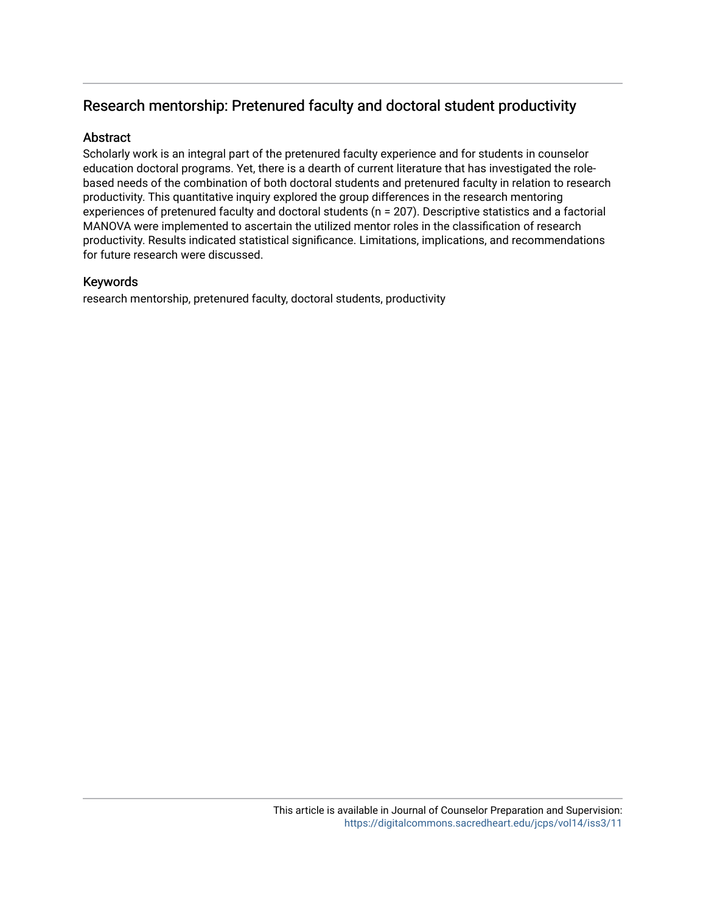# Research mentorship: Pretenured faculty and doctoral student productivity

# Abstract

Scholarly work is an integral part of the pretenured faculty experience and for students in counselor education doctoral programs. Yet, there is a dearth of current literature that has investigated the rolebased needs of the combination of both doctoral students and pretenured faculty in relation to research productivity. This quantitative inquiry explored the group differences in the research mentoring experiences of pretenured faculty and doctoral students (n = 207). Descriptive statistics and a factorial MANOVA were implemented to ascertain the utilized mentor roles in the classification of research productivity. Results indicated statistical significance. Limitations, implications, and recommendations for future research were discussed.

# Keywords

research mentorship, pretenured faculty, doctoral students, productivity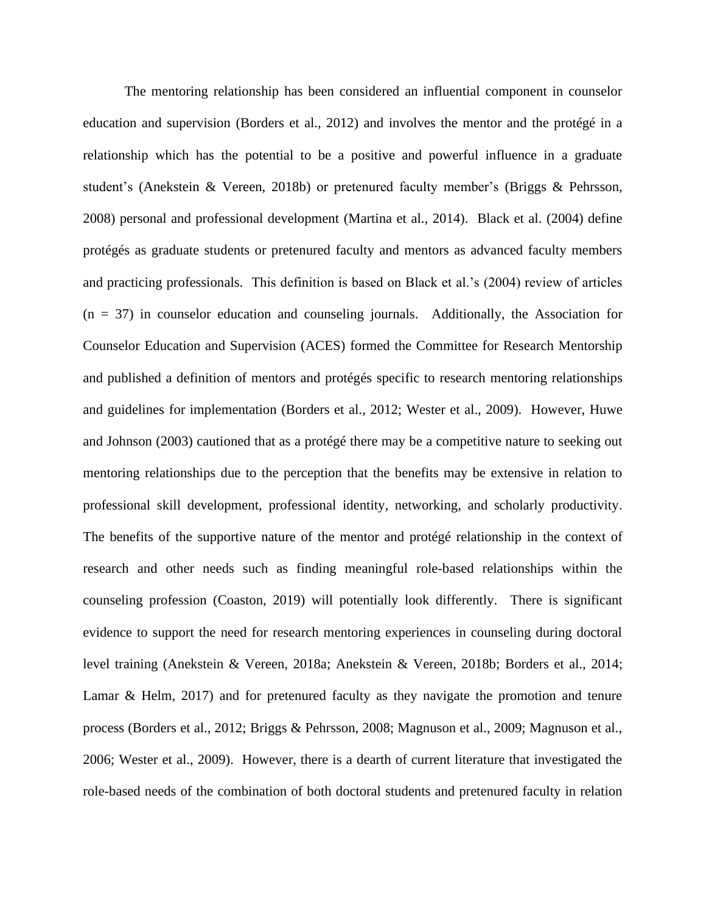The mentoring relationship has been considered an influential component in counselor education and supervision (Borders et al., 2012) and involves the mentor and the protégé in a relationship which has the potential to be a positive and powerful influence in a graduate student's (Anekstein & Vereen, 2018b) or pretenured faculty member's (Briggs & Pehrsson, 2008) personal and professional development (Martina et al., 2014). Black et al. (2004) define protégés as graduate students or pretenured faculty and mentors as advanced faculty members and practicing professionals. This definition is based on Black et al.'s (2004) review of articles  $(n = 37)$  in counselor education and counseling journals. Additionally, the Association for Counselor Education and Supervision (ACES) formed the Committee for Research Mentorship and published a definition of mentors and protégés specific to research mentoring relationships and guidelines for implementation (Borders et al., 2012; Wester et al., 2009). However, Huwe and Johnson (2003) cautioned that as a protégé there may be a competitive nature to seeking out mentoring relationships due to the perception that the benefits may be extensive in relation to professional skill development, professional identity, networking, and scholarly productivity. The benefits of the supportive nature of the mentor and protégé relationship in the context of research and other needs such as finding meaningful role-based relationships within the counseling profession (Coaston, 2019) will potentially look differently. There is significant evidence to support the need for research mentoring experiences in counseling during doctoral level training (Anekstein & Vereen, 2018a; Anekstein & Vereen, 2018b; Borders et al., 2014; Lamar & Helm, 2017) and for pretenured faculty as they navigate the promotion and tenure process (Borders et al., 2012; Briggs & Pehrsson, 2008; Magnuson et al., 2009; Magnuson et al., 2006; Wester et al., 2009). However, there is a dearth of current literature that investigated the role-based needs of the combination of both doctoral students and pretenured faculty in relation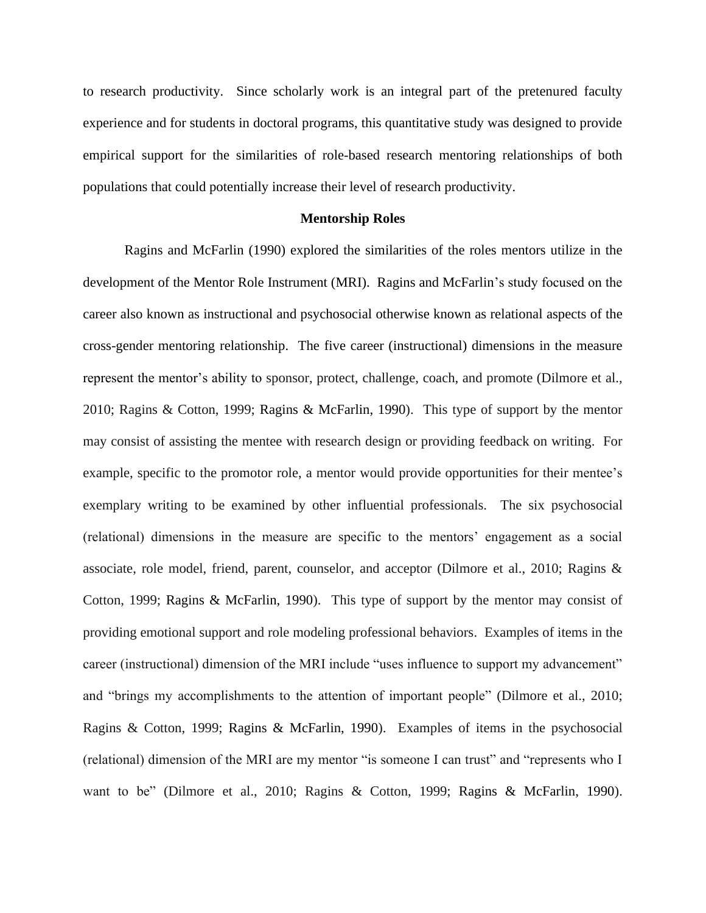to research productivity. Since scholarly work is an integral part of the pretenured faculty experience and for students in doctoral programs, this quantitative study was designed to provide empirical support for the similarities of role-based research mentoring relationships of both populations that could potentially increase their level of research productivity.

#### **Mentorship Roles**

Ragins and McFarlin (1990) explored the similarities of the roles mentors utilize in the development of the Mentor Role Instrument (MRI). Ragins and McFarlin's study focused on the career also known as instructional and psychosocial otherwise known as relational aspects of the cross-gender mentoring relationship. The five career (instructional) dimensions in the measure represent the mentor's ability to sponsor, protect, challenge, coach, and promote (Dilmore et al., 2010; Ragins & Cotton, 1999; Ragins & McFarlin, 1990). This type of support by the mentor may consist of assisting the mentee with research design or providing feedback on writing. For example, specific to the promotor role, a mentor would provide opportunities for their mentee's exemplary writing to be examined by other influential professionals. The six psychosocial (relational) dimensions in the measure are specific to the mentors' engagement as a social associate, role model, friend, parent, counselor, and acceptor (Dilmore et al., 2010; Ragins & Cotton, 1999; Ragins & McFarlin, 1990). This type of support by the mentor may consist of providing emotional support and role modeling professional behaviors. Examples of items in the career (instructional) dimension of the MRI include "uses influence to support my advancement" and "brings my accomplishments to the attention of important people" (Dilmore et al., 2010; Ragins & Cotton, 1999; Ragins & McFarlin, 1990). Examples of items in the psychosocial (relational) dimension of the MRI are my mentor "is someone I can trust" and "represents who I want to be" (Dilmore et al., 2010; Ragins & Cotton, 1999; Ragins & McFarlin, 1990).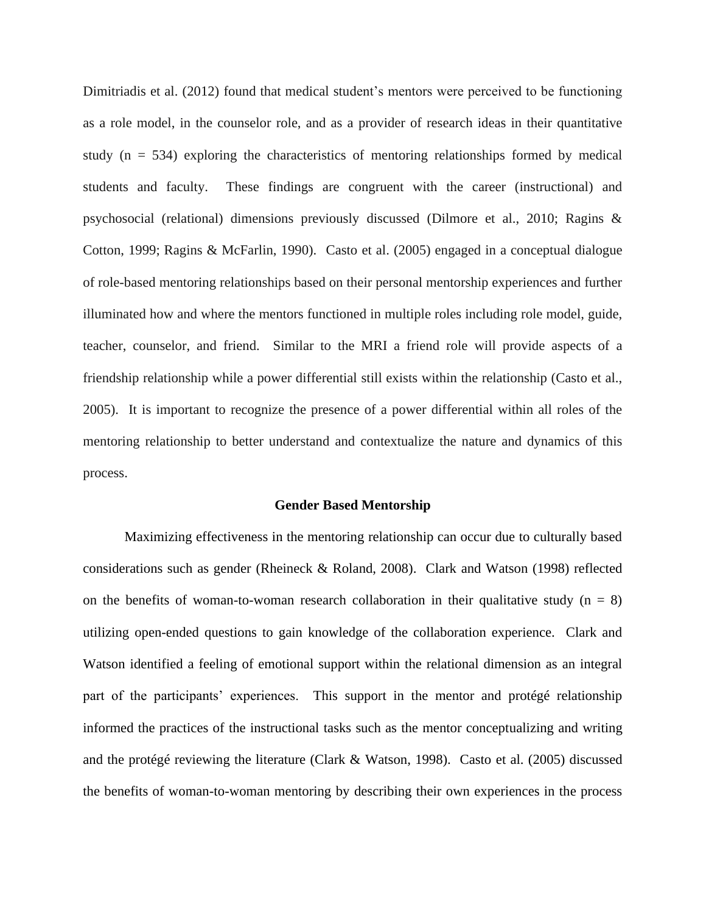Dimitriadis et al. (2012) found that medical student's mentors were perceived to be functioning as a role model, in the counselor role, and as a provider of research ideas in their quantitative study (n = 534) exploring the characteristics of mentoring relationships formed by medical students and faculty. These findings are congruent with the career (instructional) and psychosocial (relational) dimensions previously discussed (Dilmore et al., 2010; Ragins & Cotton, 1999; Ragins & McFarlin, 1990).Casto et al. (2005) engaged in a conceptual dialogue of role-based mentoring relationships based on their personal mentorship experiences and further illuminated how and where the mentors functioned in multiple roles including role model, guide, teacher, counselor, and friend. Similar to the MRI a friend role will provide aspects of a friendship relationship while a power differential still exists within the relationship (Casto et al., 2005). It is important to recognize the presence of a power differential within all roles of the mentoring relationship to better understand and contextualize the nature and dynamics of this process.

#### **Gender Based Mentorship**

Maximizing effectiveness in the mentoring relationship can occur due to culturally based considerations such as gender (Rheineck & Roland, 2008). Clark and Watson (1998) reflected on the benefits of woman-to-woman research collaboration in their qualitative study ( $n = 8$ ) utilizing open-ended questions to gain knowledge of the collaboration experience. Clark and Watson identified a feeling of emotional support within the relational dimension as an integral part of the participants' experiences. This support in the mentor and protégé relationship informed the practices of the instructional tasks such as the mentor conceptualizing and writing and the protégé reviewing the literature (Clark & Watson, 1998). Casto et al. (2005) discussed the benefits of woman-to-woman mentoring by describing their own experiences in the process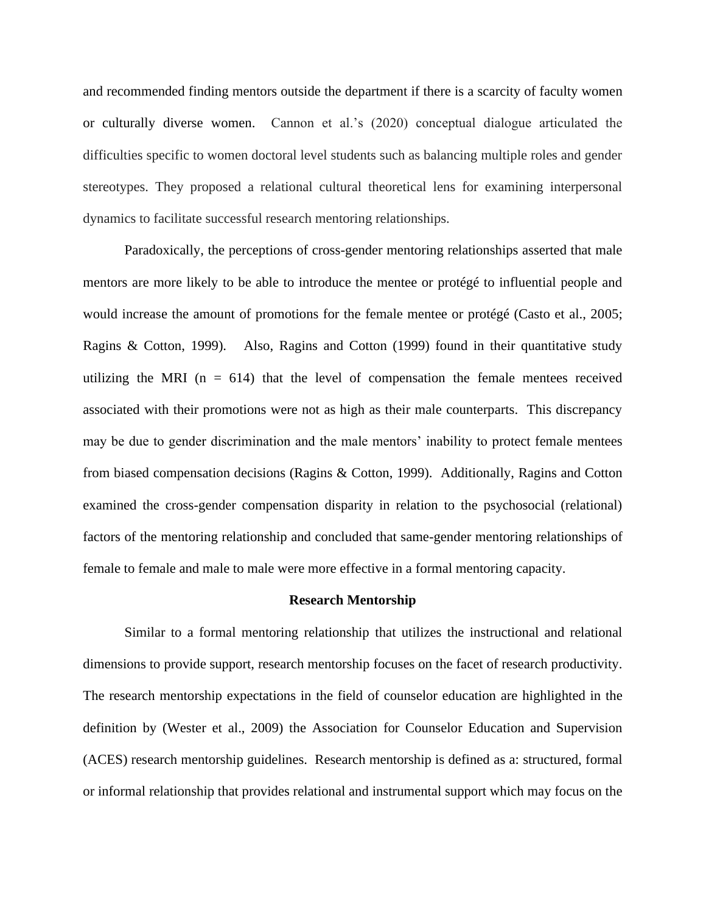and recommended finding mentors outside the department if there is a scarcity of faculty women or culturally diverse women. Cannon et al.'s (2020) conceptual dialogue articulated the difficulties specific to women doctoral level students such as balancing multiple roles and gender stereotypes. They proposed a relational cultural theoretical lens for examining interpersonal dynamics to facilitate successful research mentoring relationships.

Paradoxically, the perceptions of cross-gender mentoring relationships asserted that male mentors are more likely to be able to introduce the mentee or protégé to influential people and would increase the amount of promotions for the female mentee or protégé (Casto et al., 2005; Ragins & Cotton, 1999). Also, Ragins and Cotton (1999) found in their quantitative study utilizing the MRI ( $n = 614$ ) that the level of compensation the female mentees received associated with their promotions were not as high as their male counterparts. This discrepancy may be due to gender discrimination and the male mentors' inability to protect female mentees from biased compensation decisions (Ragins & Cotton, 1999). Additionally, Ragins and Cotton examined the cross-gender compensation disparity in relation to the psychosocial (relational) factors of the mentoring relationship and concluded that same-gender mentoring relationships of female to female and male to male were more effective in a formal mentoring capacity.

#### **Research Mentorship**

Similar to a formal mentoring relationship that utilizes the instructional and relational dimensions to provide support, research mentorship focuses on the facet of research productivity. The research mentorship expectations in the field of counselor education are highlighted in the definition by (Wester et al., 2009) the Association for Counselor Education and Supervision (ACES) research mentorship guidelines. Research mentorship is defined as a: structured, formal or informal relationship that provides relational and instrumental support which may focus on the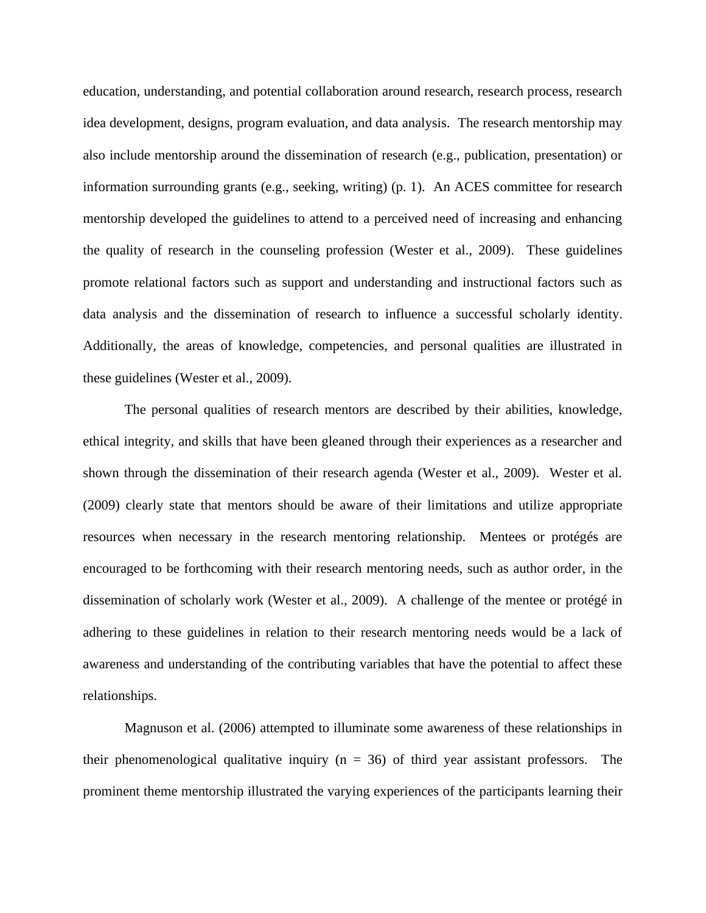education, understanding, and potential collaboration around research, research process, research idea development, designs, program evaluation, and data analysis. The research mentorship may also include mentorship around the dissemination of research (e.g., publication, presentation) or information surrounding grants (e.g., seeking, writing) (p. 1). An ACES committee for research mentorship developed the guidelines to attend to a perceived need of increasing and enhancing the quality of research in the counseling profession (Wester et al., 2009). These guidelines promote relational factors such as support and understanding and instructional factors such as data analysis and the dissemination of research to influence a successful scholarly identity. Additionally, the areas of knowledge, competencies, and personal qualities are illustrated in these guidelines (Wester et al., 2009).

The personal qualities of research mentors are described by their abilities, knowledge, ethical integrity, and skills that have been gleaned through their experiences as a researcher and shown through the dissemination of their research agenda (Wester et al., 2009). Wester et al. (2009) clearly state that mentors should be aware of their limitations and utilize appropriate resources when necessary in the research mentoring relationship. Mentees or protégés are encouraged to be forthcoming with their research mentoring needs, such as author order, in the dissemination of scholarly work (Wester et al., 2009). A challenge of the mentee or protégé in adhering to these guidelines in relation to their research mentoring needs would be a lack of awareness and understanding of the contributing variables that have the potential to affect these relationships.

Magnuson et al. (2006) attempted to illuminate some awareness of these relationships in their phenomenological qualitative inquiry ( $n = 36$ ) of third year assistant professors. The prominent theme mentorship illustrated the varying experiences of the participants learning their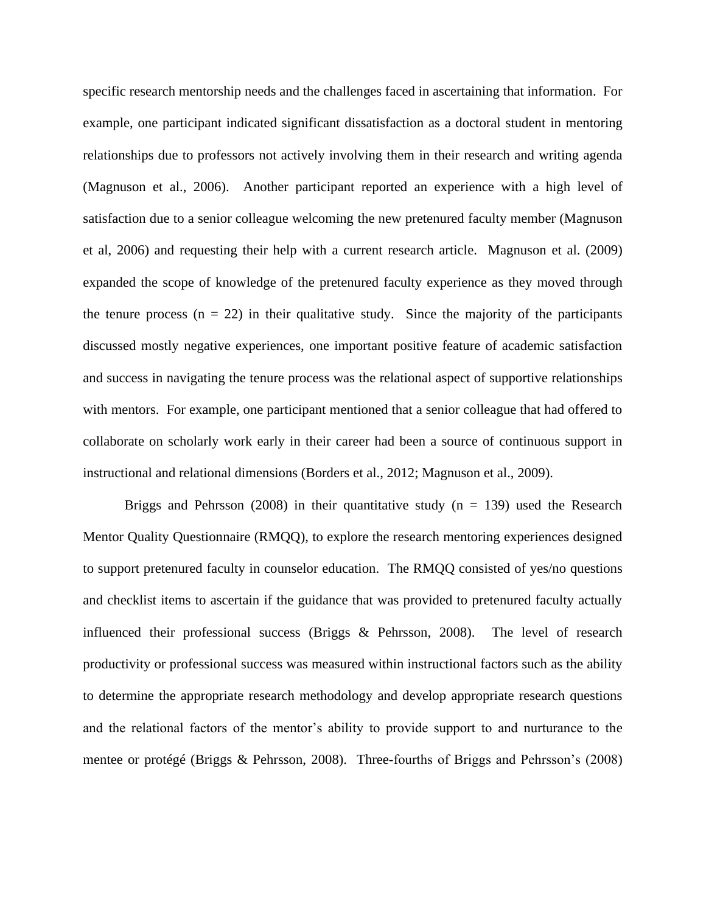specific research mentorship needs and the challenges faced in ascertaining that information. For example, one participant indicated significant dissatisfaction as a doctoral student in mentoring relationships due to professors not actively involving them in their research and writing agenda (Magnuson et al., 2006). Another participant reported an experience with a high level of satisfaction due to a senior colleague welcoming the new pretenured faculty member (Magnuson et al, 2006) and requesting their help with a current research article. Magnuson et al. (2009) expanded the scope of knowledge of the pretenured faculty experience as they moved through the tenure process  $(n = 22)$  in their qualitative study. Since the majority of the participants discussed mostly negative experiences, one important positive feature of academic satisfaction and success in navigating the tenure process was the relational aspect of supportive relationships with mentors. For example, one participant mentioned that a senior colleague that had offered to collaborate on scholarly work early in their career had been a source of continuous support in instructional and relational dimensions (Borders et al., 2012; Magnuson et al., 2009).

Briggs and Pehrsson (2008) in their quantitative study ( $n = 139$ ) used the Research Mentor Quality Questionnaire (RMQQ), to explore the research mentoring experiences designed to support pretenured faculty in counselor education. The RMQQ consisted of yes/no questions and checklist items to ascertain if the guidance that was provided to pretenured faculty actually influenced their professional success (Briggs & Pehrsson, 2008). The level of research productivity or professional success was measured within instructional factors such as the ability to determine the appropriate research methodology and develop appropriate research questions and the relational factors of the mentor's ability to provide support to and nurturance to the mentee or protégé (Briggs & Pehrsson, 2008). Three-fourths of Briggs and Pehrsson's (2008)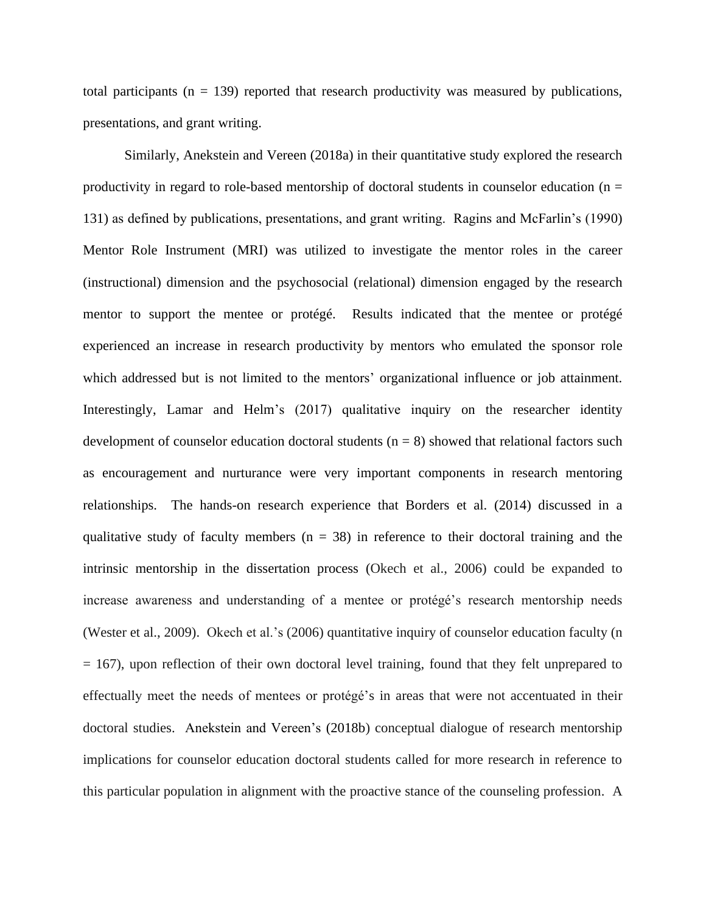total participants ( $n = 139$ ) reported that research productivity was measured by publications, presentations, and grant writing.

Similarly, Anekstein and Vereen (2018a) in their quantitative study explored the research productivity in regard to role-based mentorship of doctoral students in counselor education ( $n =$ 131) as defined by publications, presentations, and grant writing. Ragins and McFarlin's (1990) Mentor Role Instrument (MRI) was utilized to investigate the mentor roles in the career (instructional) dimension and the psychosocial (relational) dimension engaged by the research mentor to support the mentee or protégé. Results indicated that the mentee or protégé experienced an increase in research productivity by mentors who emulated the sponsor role which addressed but is not limited to the mentors' organizational influence or job attainment. Interestingly, Lamar and Helm's (2017) qualitative inquiry on the researcher identity development of counselor education doctoral students  $(n = 8)$  showed that relational factors such as encouragement and nurturance were very important components in research mentoring relationships. The hands-on research experience that Borders et al. (2014) discussed in a qualitative study of faculty members ( $n = 38$ ) in reference to their doctoral training and the intrinsic mentorship in the dissertation process (Okech et al., 2006) could be expanded to increase awareness and understanding of a mentee or protégé's research mentorship needs (Wester et al., 2009). Okech et al.'s (2006) quantitative inquiry of counselor education faculty (n  $= 167$ ), upon reflection of their own doctoral level training, found that they felt unprepared to effectually meet the needs of mentees or protégé's in areas that were not accentuated in their doctoral studies. Anekstein and Vereen's (2018b) conceptual dialogue of research mentorship implications for counselor education doctoral students called for more research in reference to this particular population in alignment with the proactive stance of the counseling profession. A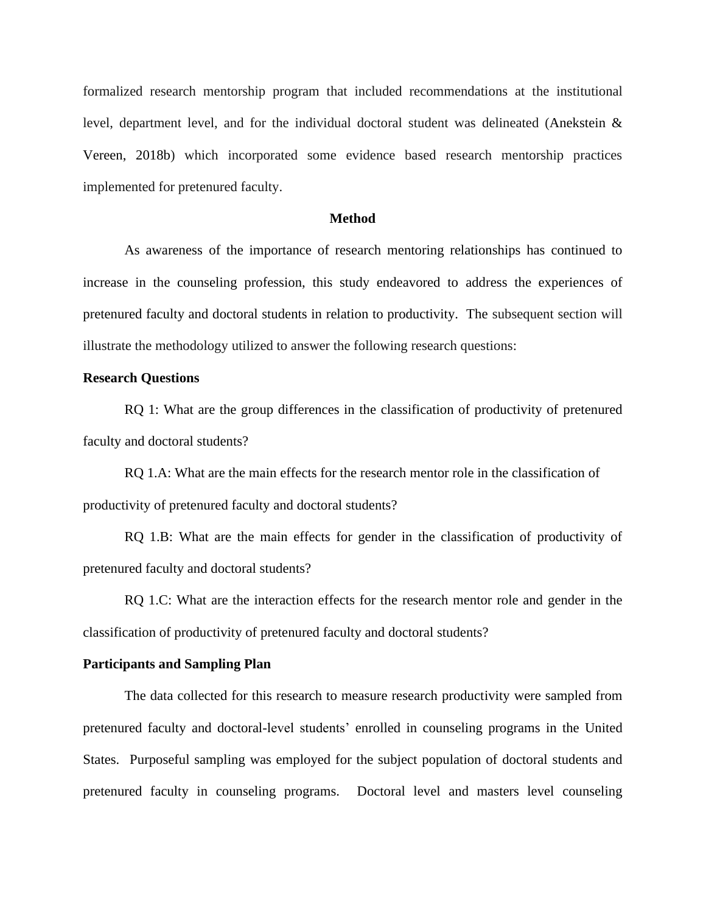formalized research mentorship program that included recommendations at the institutional level, department level, and for the individual doctoral student was delineated (Anekstein & Vereen, 2018b) which incorporated some evidence based research mentorship practices implemented for pretenured faculty.

#### **Method**

As awareness of the importance of research mentoring relationships has continued to increase in the counseling profession, this study endeavored to address the experiences of pretenured faculty and doctoral students in relation to productivity. The subsequent section will illustrate the methodology utilized to answer the following research questions:

## **Research Questions**

RQ 1: What are the group differences in the classification of productivity of pretenured faculty and doctoral students?

RQ 1.A: What are the main effects for the research mentor role in the classification of productivity of pretenured faculty and doctoral students?

RQ 1.B: What are the main effects for gender in the classification of productivity of pretenured faculty and doctoral students?

RQ 1.C: What are the interaction effects for the research mentor role and gender in the classification of productivity of pretenured faculty and doctoral students?

#### **Participants and Sampling Plan**

The data collected for this research to measure research productivity were sampled from pretenured faculty and doctoral-level students' enrolled in counseling programs in the United States.Purposeful sampling was employed for the subject population of doctoral students and pretenured faculty in counseling programs.Doctoral level and masters level counseling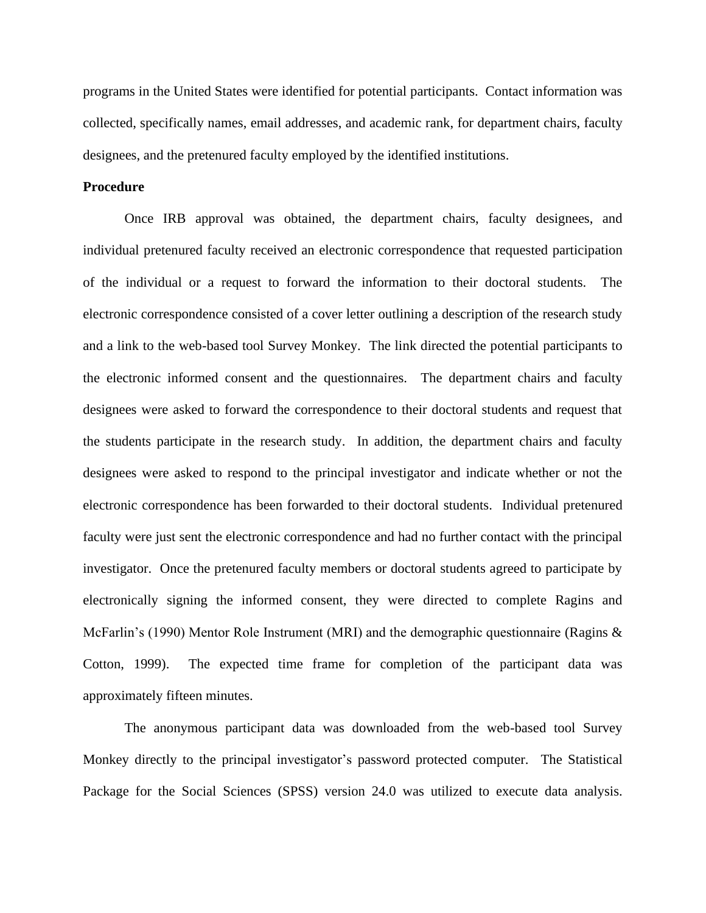programs in the United States were identified for potential participants. Contact information was collected, specifically names, email addresses, and academic rank, for department chairs, faculty designees, and the pretenured faculty employed by the identified institutions.

# **Procedure**

Once IRB approval was obtained, the department chairs, faculty designees, and individual pretenured faculty received an electronic correspondence that requested participation of the individual or a request to forward the information to their doctoral students. The electronic correspondence consisted of a cover letter outlining a description of the research study and a link to the web-based tool Survey Monkey. The link directed the potential participants to the electronic informed consent and the questionnaires. The department chairs and faculty designees were asked to forward the correspondence to their doctoral students and request that the students participate in the research study. In addition, the department chairs and faculty designees were asked to respond to the principal investigator and indicate whether or not the electronic correspondence has been forwarded to their doctoral students. Individual pretenured faculty were just sent the electronic correspondence and had no further contact with the principal investigator. Once the pretenured faculty members or doctoral students agreed to participate by electronically signing the informed consent, they were directed to complete Ragins and McFarlin's (1990) Mentor Role Instrument (MRI) and the demographic questionnaire (Ragins & Cotton, 1999). The expected time frame for completion of the participant data was approximately fifteen minutes.

The anonymous participant data was downloaded from the web-based tool Survey Monkey directly to the principal investigator's password protected computer.The Statistical Package for the Social Sciences (SPSS) version 24.0 was utilized to execute data analysis.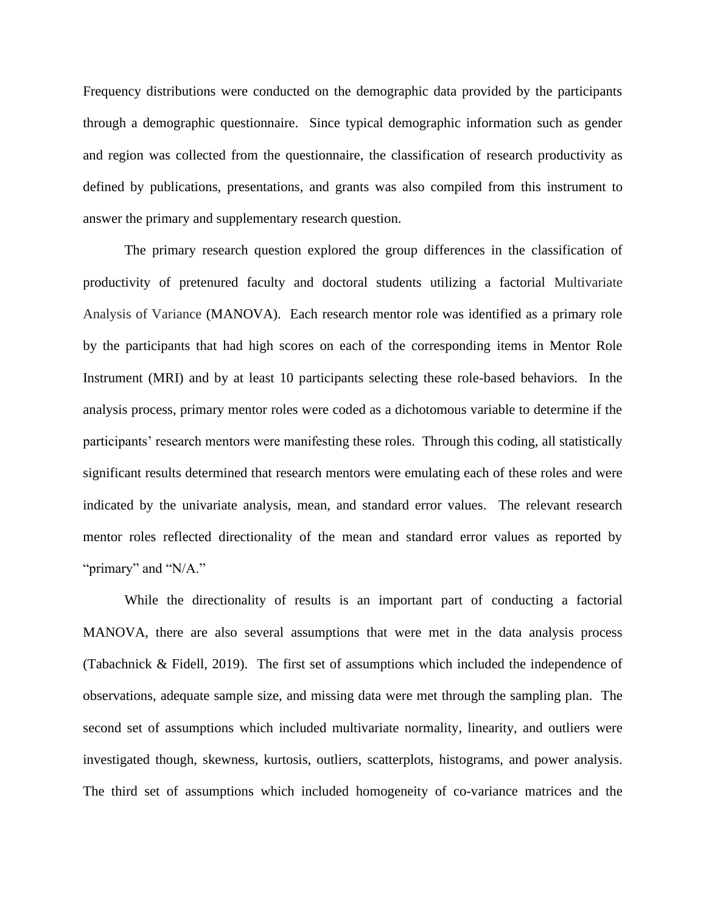Frequency distributions were conducted on the demographic data provided by the participants through a demographic questionnaire. Since typical demographic information such as gender and region was collected from the questionnaire, the classification of research productivity as defined by publications, presentations, and grants was also compiled from this instrument to answer the primary and supplementary research question.

The primary research question explored the group differences in the classification of productivity of pretenured faculty and doctoral students utilizing a factorial Multivariate Analysis of Variance (MANOVA). Each research mentor role was identified as a primary role by the participants that had high scores on each of the corresponding items in Mentor Role Instrument (MRI) and by at least 10 participants selecting these role-based behaviors. In the analysis process, primary mentor roles were coded as a dichotomous variable to determine if the participants' research mentors were manifesting these roles. Through this coding, all statistically significant results determined that research mentors were emulating each of these roles and were indicated by the univariate analysis, mean, and standard error values. The relevant research mentor roles reflected directionality of the mean and standard error values as reported by "primary" and "N/A."

While the directionality of results is an important part of conducting a factorial MANOVA, there are also several assumptions that were met in the data analysis process (Tabachnick & Fidell, 2019). The first set of assumptions which included the independence of observations, adequate sample size, and missing data were met through the sampling plan. The second set of assumptions which included multivariate normality, linearity, and outliers were investigated though, skewness, kurtosis, outliers, scatterplots, histograms, and power analysis. The third set of assumptions which included homogeneity of co-variance matrices and the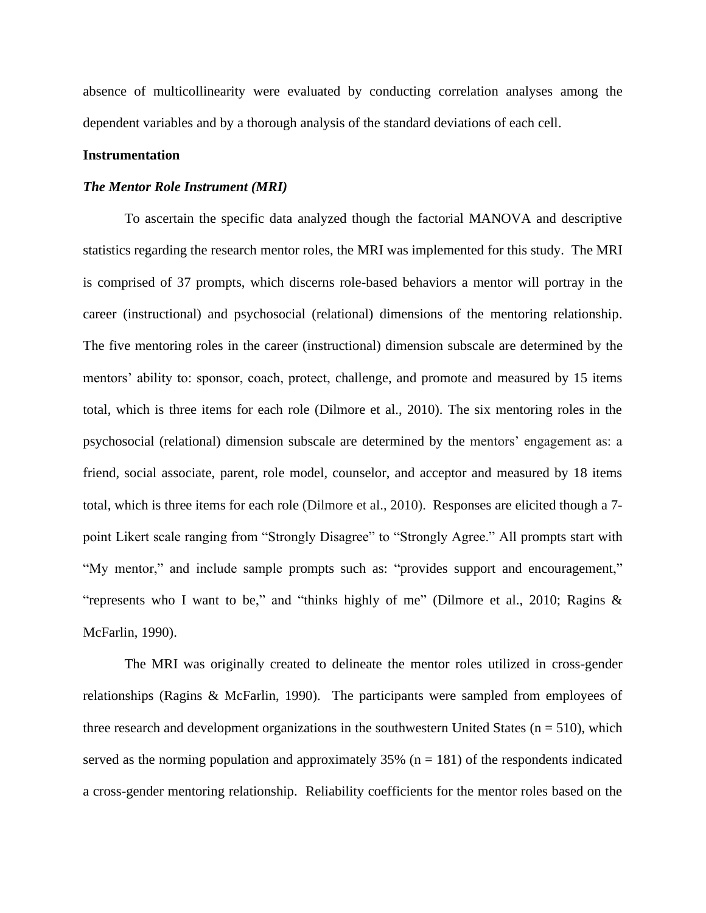absence of multicollinearity were evaluated by conducting correlation analyses among the dependent variables and by a thorough analysis of the standard deviations of each cell.

## **Instrumentation**

### *The Mentor Role Instrument (MRI)*

To ascertain the specific data analyzed though the factorial MANOVA and descriptive statistics regarding the research mentor roles, the MRI was implemented for this study. The MRI is comprised of 37 prompts, which discerns role-based behaviors a mentor will portray in the career (instructional) and psychosocial (relational) dimensions of the mentoring relationship. The five mentoring roles in the career (instructional) dimension subscale are determined by the mentors' ability to: sponsor, coach, protect, challenge, and promote and measured by 15 items total, which is three items for each role (Dilmore et al., 2010). The six mentoring roles in the psychosocial (relational) dimension subscale are determined by the mentors' engagement as: a friend, social associate, parent, role model, counselor, and acceptor and measured by 18 items total, which is three items for each role (Dilmore et al., 2010). Responses are elicited though a 7 point Likert scale ranging from "Strongly Disagree" to "Strongly Agree." All prompts start with "My mentor," and include sample prompts such as: "provides support and encouragement," "represents who I want to be," and "thinks highly of me" (Dilmore et al., 2010; Ragins & McFarlin, 1990).

The MRI was originally created to delineate the mentor roles utilized in cross-gender relationships (Ragins & McFarlin, 1990). The participants were sampled from employees of three research and development organizations in the southwestern United States ( $n = 510$ ), which served as the norming population and approximately  $35\%$  (n = 181) of the respondents indicated a cross-gender mentoring relationship. Reliability coefficients for the mentor roles based on the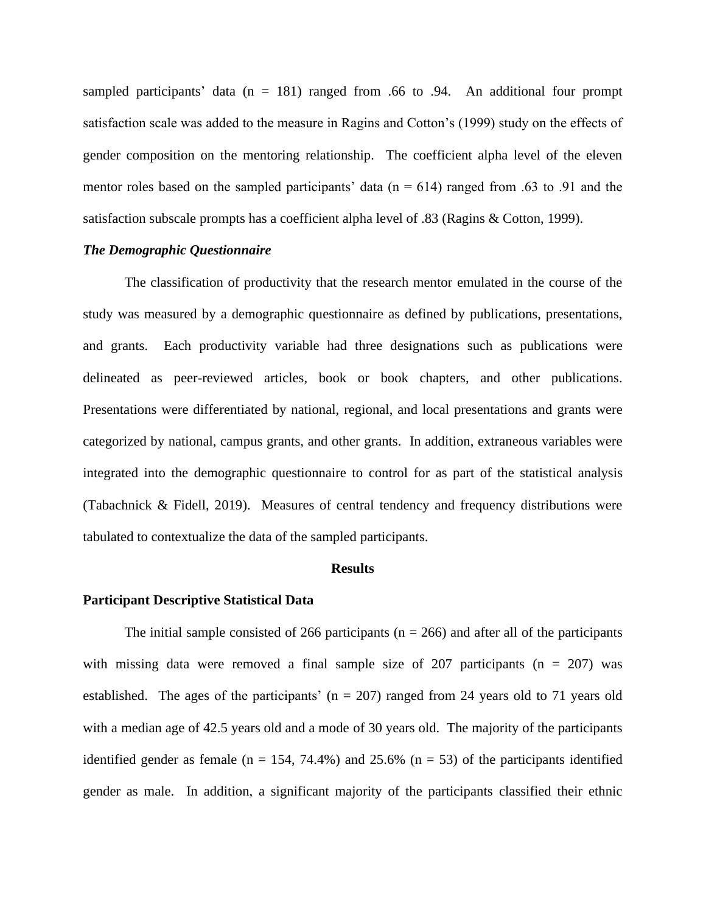sampled participants' data ( $n = 181$ ) ranged from .66 to .94. An additional four prompt satisfaction scale was added to the measure in Ragins and Cotton's (1999) study on the effects of gender composition on the mentoring relationship. The coefficient alpha level of the eleven mentor roles based on the sampled participants' data ( $n = 614$ ) ranged from .63 to .91 and the satisfaction subscale prompts has a coefficient alpha level of .83 (Ragins & Cotton, 1999).

#### *The Demographic Questionnaire*

The classification of productivity that the research mentor emulated in the course of the study was measured by a demographic questionnaire as defined by publications, presentations, and grants. Each productivity variable had three designations such as publications were delineated as peer-reviewed articles, book or book chapters, and other publications. Presentations were differentiated by national, regional, and local presentations and grants were categorized by national, campus grants, and other grants. In addition, extraneous variables were integrated into the demographic questionnaire to control for as part of the statistical analysis (Tabachnick & Fidell, 2019). Measures of central tendency and frequency distributions were tabulated to contextualize the data of the sampled participants.

#### **Results**

#### **Participant Descriptive Statistical Data**

The initial sample consisted of 266 participants ( $n = 266$ ) and after all of the participants with missing data were removed a final sample size of 207 participants ( $n = 207$ ) was established.The ages of the participants' (n = 207) ranged from 24 years old to 71 years old with a median age of 42.5 years old and a mode of 30 years old. The majority of the participants identified gender as female ( $n = 154$ , 74.4%) and 25.6% ( $n = 53$ ) of the participants identified gender as male. In addition, a significant majority of the participants classified their ethnic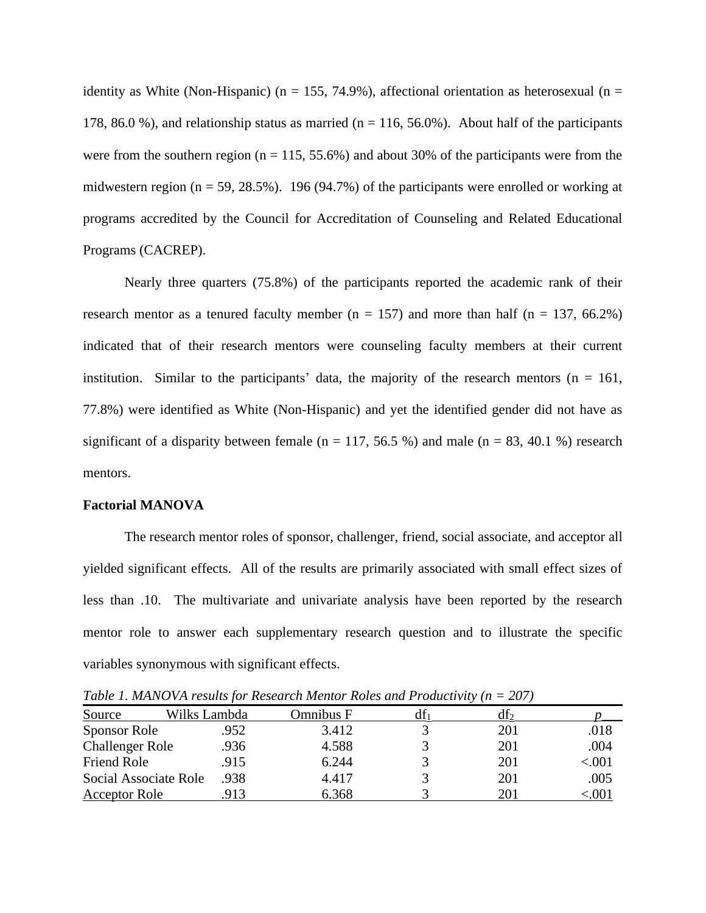identity as White (Non-Hispanic) (n = 155, 74.9%), affectional orientation as heterosexual (n = 178, 86.0 %), and relationship status as married ( $n = 116, 56.0$ %). About half of the participants were from the southern region ( $n = 115, 55.6\%$ ) and about 30% of the participants were from the midwestern region ( $n = 59, 28.5\%$ ). 196 (94.7%) of the participants were enrolled or working at programs accredited by the Council for Accreditation of Counseling and Related Educational Programs (CACREP).

Nearly three quarters (75.8%) of the participants reported the academic rank of their research mentor as a tenured faculty member ( $n = 157$ ) and more than half ( $n = 137, 66.2\%)$ indicated that of their research mentors were counseling faculty members at their current institution. Similar to the participants' data, the majority of the research mentors ( $n = 161$ , 77.8%) were identified as White (Non-Hispanic) and yet the identified gender did not have as significant of a disparity between female ( $n = 117, 56.5$ %) and male ( $n = 83, 40.1$ %) research mentors.

#### **Factorial MANOVA**

The research mentor roles of sponsor, challenger, friend, social associate, and acceptor all yielded significant effects. All of the results are primarily associated with small effect sizes of less than .10. The multivariate and univariate analysis have been reported by the research mentor role to answer each supplementary research question and to illustrate the specific variables synonymous with significant effects.

*Table 1. MANOVA results for Research Mentor Roles and Productivity (n = 207)*

| Source                 | Wilks Lambda | Omnibus F | dt 1 | df2 |          |
|------------------------|--------------|-----------|------|-----|----------|
| Sponsor Role           | .952         | 3.412     |      | 201 | .018     |
| <b>Challenger Role</b> | .936         | 4.588     |      | 201 | .004     |
| Friend Role            | .915         | 6.244     |      | 201 | ${<}001$ |
| Social Associate Role  | .938         | 4.417     |      | 201 | .005     |
| <b>Acceptor Role</b>   |              | 6.368     |      | 201 | .00      |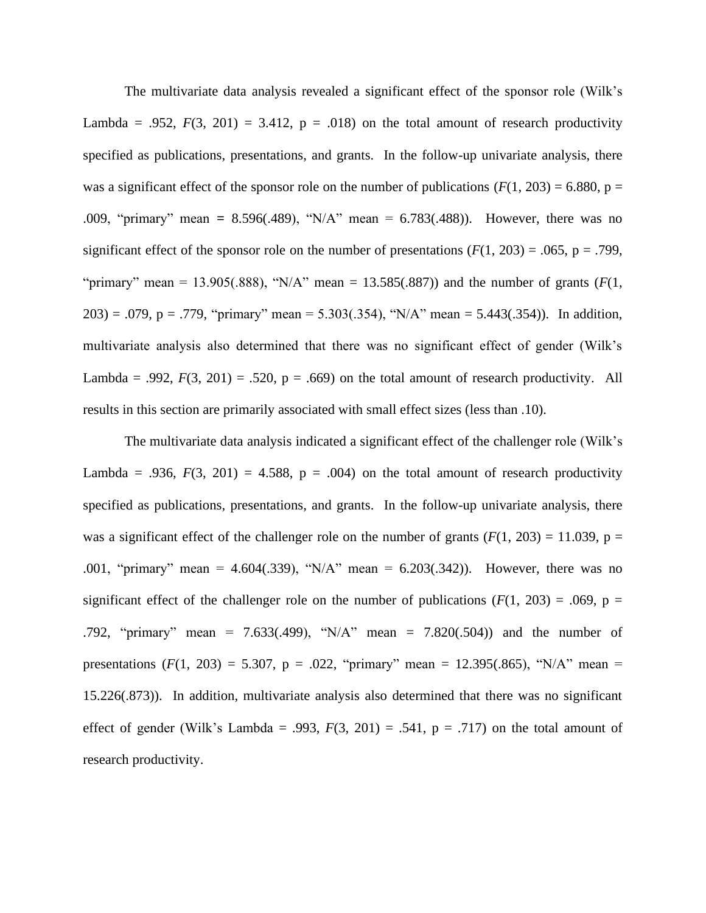The multivariate data analysis revealed a significant effect of the sponsor role (Wilk's Lambda = .952,  $F(3, 201) = 3.412$ ,  $p = .018$ ) on the total amount of research productivity specified as publications, presentations, and grants. In the follow-up univariate analysis, there was a significant effect of the sponsor role on the number of publications  $(F(1, 203) = 6.880, p =$ .009, "primary" mean **=** 8.596(.489), "N/A" mean = 6.783(.488)). However, there was no significant effect of the sponsor role on the number of presentations  $(F(1, 203) = .065, p = .799,$ "primary" mean = 13.905(.888), "N/A" mean = 13.585(.887)) and the number of grants  $(F(1,$ 203) = .079, p = .779, "primary" mean = 5.303(.354), "N/A" mean = 5.443(.354)). In addition, multivariate analysis also determined that there was no significant effect of gender (Wilk's Lambda = .992,  $F(3, 201) = .520$ ,  $p = .669$ ) on the total amount of research productivity. All results in this section are primarily associated with small effect sizes (less than .10).

The multivariate data analysis indicated a significant effect of the challenger role (Wilk's Lambda = .936,  $F(3, 201) = 4.588$ ,  $p = .004$ ) on the total amount of research productivity specified as publications, presentations, and grants. In the follow-up univariate analysis, there was a significant effect of the challenger role on the number of grants  $(F(1, 203) = 11.039, p =$ .001, "primary" mean = 4.604(.339), "N/A" mean = 6.203(.342)). However, there was no significant effect of the challenger role on the number of publications  $(F(1, 203) = .069, p =$ .792, "primary" mean = 7.633(.499), "N/A" mean = 7.820(.504)) and the number of presentations  $(F(1, 203) = 5.307$ ,  $p = .022$ , "primary" mean = 12.395(.865), "N/A" mean = 15.226(.873)). In addition, multivariate analysis also determined that there was no significant effect of gender (Wilk's Lambda = .993,  $F(3, 201) = .541$ ,  $p = .717$ ) on the total amount of research productivity.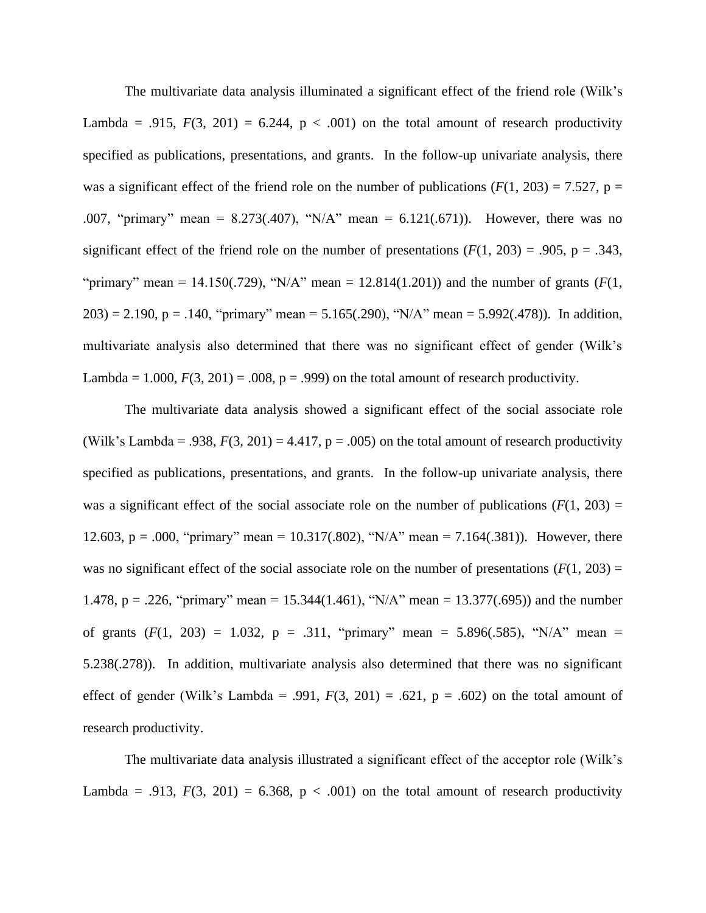The multivariate data analysis illuminated a significant effect of the friend role (Wilk's Lambda = .915,  $F(3, 201) = 6.244$ ,  $p < .001$ ) on the total amount of research productivity specified as publications, presentations, and grants. In the follow-up univariate analysis, there was a significant effect of the friend role on the number of publications  $(F(1, 203) = 7.527, p =$ .007, "primary" mean = 8.273(.407), "N/A" mean = 6.121(.671)).However, there was no significant effect of the friend role on the number of presentations  $(F(1, 203) = .905, p = .343,$ "primary" mean = 14.150(.729), "N/A" mean = 12.814(1.201)) and the number of grants ( $F(1, 1)$ 203) = 2.190, p = .140, "primary" mean = 5.165(.290), "N/A" mean = 5.992(.478)). In addition, multivariate analysis also determined that there was no significant effect of gender (Wilk's Lambda =  $1.000$ ,  $F(3, 201) = .008$ ,  $p = .999$ ) on the total amount of research productivity.

The multivariate data analysis showed a significant effect of the social associate role (Wilk's Lambda = .938,  $F(3, 201) = 4.417$ ,  $p = .005$ ) on the total amount of research productivity specified as publications, presentations, and grants. In the follow-up univariate analysis, there was a significant effect of the social associate role on the number of publications  $(F(1, 203) =$ 12.603, p = .000, "primary" mean = 10.317(.802), "N/A" mean = 7.164(.381)).However, there was no significant effect of the social associate role on the number of presentations  $(F(1, 203) =$ 1.478, p = .226, "primary" mean = 15.344(1.461), "N/A" mean = 13.377(.695)) and the number of grants  $(F(1, 203) = 1.032$ ,  $p = .311$ , "primary" mean = 5.896(.585), "N/A" mean = 5.238(.278)).In addition, multivariate analysis also determined that there was no significant effect of gender (Wilk's Lambda = .991,  $F(3, 201) = .621$ ,  $p = .602$ ) on the total amount of research productivity.

The multivariate data analysis illustrated a significant effect of the acceptor role (Wilk's Lambda = .913,  $F(3, 201) = 6.368$ ,  $p < .001$ ) on the total amount of research productivity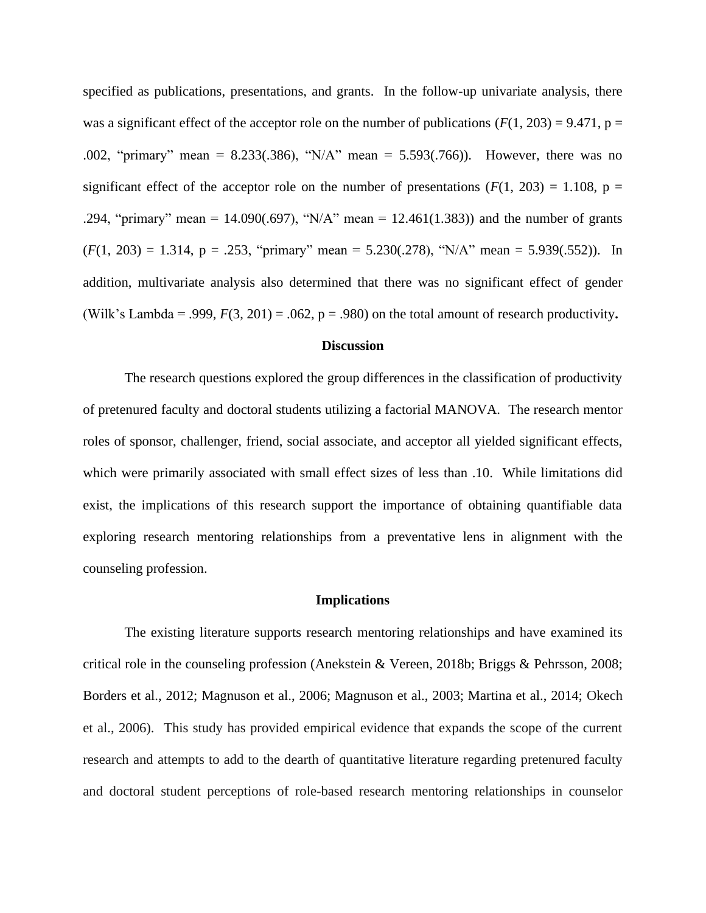specified as publications, presentations, and grants. In the follow-up univariate analysis, there was a significant effect of the acceptor role on the number of publications  $(F(1, 203) = 9.471$ ,  $p =$ .002, "primary" mean = 8.233(.386), "N/A" mean = 5.593(.766)).However, there was no significant effect of the acceptor role on the number of presentations  $(F(1, 203) = 1.108, p =$ .294, "primary" mean = 14.090(.697), "N/A" mean = 12.461(1.383)) and the number of grants  $(F(1, 203) = 1.314, p = .253$ , "primary" mean = 5.230(.278), "N/A" mean = 5.939(.552)). In addition, multivariate analysis also determined that there was no significant effect of gender (Wilk's Lambda = .999, *F*(3, 201) = .062, p = .980) on the total amount of research productivity**.** 

#### **Discussion**

The research questions explored the group differences in the classification of productivity of pretenured faculty and doctoral students utilizing a factorial MANOVA. The research mentor roles of sponsor, challenger, friend, social associate, and acceptor all yielded significant effects, which were primarily associated with small effect sizes of less than .10. While limitations did exist, the implications of this research support the importance of obtaining quantifiable data exploring research mentoring relationships from a preventative lens in alignment with the counseling profession.

#### **Implications**

The existing literature supports research mentoring relationships and have examined its critical role in the counseling profession (Anekstein & Vereen, 2018b; Briggs & Pehrsson, 2008; Borders et al., 2012; Magnuson et al., 2006; Magnuson et al., 2003; Martina et al., 2014; Okech et al., 2006).This study has provided empirical evidence that expands the scope of the current research and attempts to add to the dearth of quantitative literature regarding pretenured faculty and doctoral student perceptions of role-based research mentoring relationships in counselor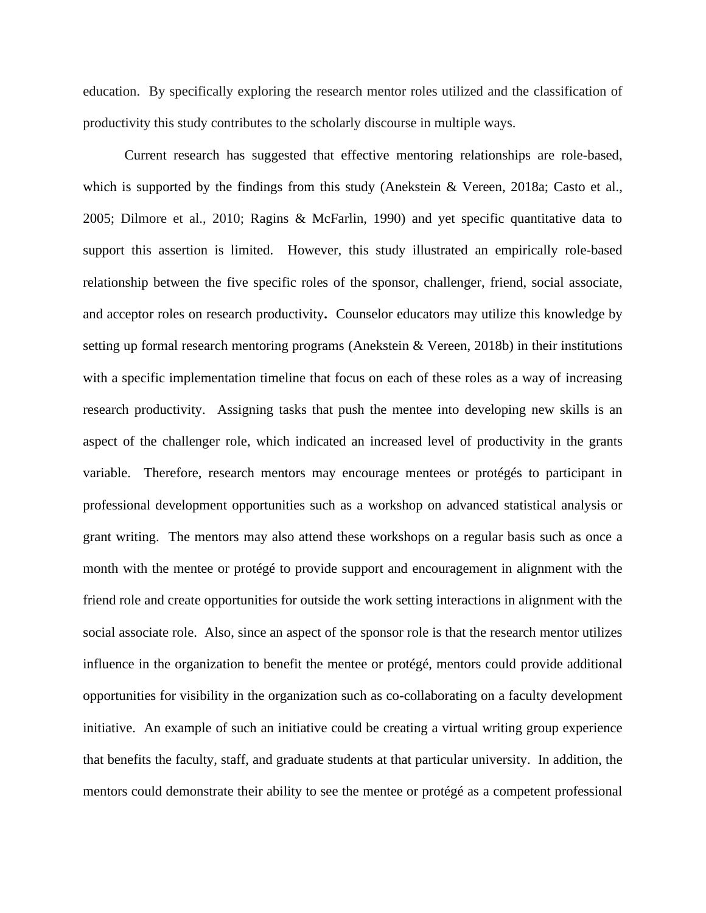education. By specifically exploring the research mentor roles utilized and the classification of productivity this study contributes to the scholarly discourse in multiple ways.

Current research has suggested that effective mentoring relationships are role-based, which is supported by the findings from this study (Anekstein & Vereen, 2018a; Casto et al., 2005; Dilmore et al., 2010; Ragins & McFarlin, 1990) and yet specific quantitative data to support this assertion is limited. However, this study illustrated an empirically role-based relationship between the five specific roles of the sponsor, challenger, friend, social associate, and acceptor roles on research productivity**.** Counselor educators may utilize this knowledge by setting up formal research mentoring programs (Anekstein & Vereen, 2018b) in their institutions with a specific implementation timeline that focus on each of these roles as a way of increasing research productivity.Assigning tasks that push the mentee into developing new skills is an aspect of the challenger role, which indicated an increased level of productivity in the grants variable. Therefore, research mentors may encourage mentees or protégés to participant in professional development opportunities such as a workshop on advanced statistical analysis or grant writing. The mentors may also attend these workshops on a regular basis such as once a month with the mentee or protégé to provide support and encouragement in alignment with the friend role and create opportunities for outside the work setting interactions in alignment with the social associate role. Also, since an aspect of the sponsor role is that the research mentor utilizes influence in the organization to benefit the mentee or protégé, mentors could provide additional opportunities for visibility in the organization such as co-collaborating on a faculty development initiative. An example of such an initiative could be creating a virtual writing group experience that benefits the faculty, staff, and graduate students at that particular university. In addition, the mentors could demonstrate their ability to see the mentee or protégé as a competent professional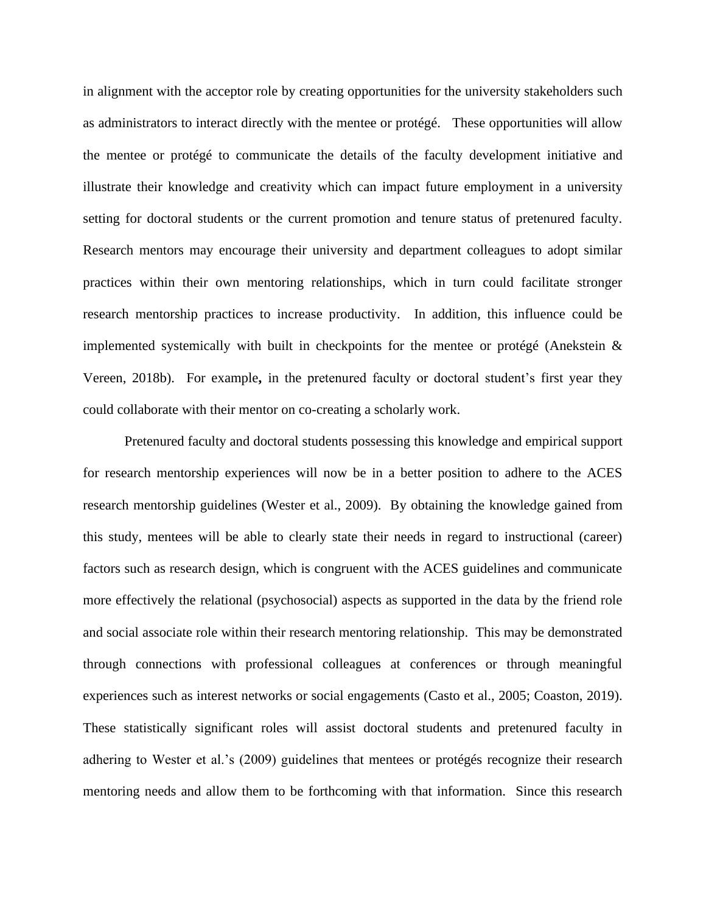in alignment with the acceptor role by creating opportunities for the university stakeholders such as administrators to interact directly with the mentee or protégé. These opportunities will allow the mentee or protégé to communicate the details of the faculty development initiative and illustrate their knowledge and creativity which can impact future employment in a university setting for doctoral students or the current promotion and tenure status of pretenured faculty. Research mentors may encourage their university and department colleagues to adopt similar practices within their own mentoring relationships, which in turn could facilitate stronger research mentorship practices to increase productivity.In addition, this influence could be implemented systemically with built in checkpoints for the mentee or protégé (Anekstein & Vereen, 2018b). For example**,** in the pretenured faculty or doctoral student's first year they could collaborate with their mentor on co-creating a scholarly work.

Pretenured faculty and doctoral students possessing this knowledge and empirical support for research mentorship experiences will now be in a better position to adhere to the ACES research mentorship guidelines (Wester et al., 2009). By obtaining the knowledge gained from this study, mentees will be able to clearly state their needs in regard to instructional (career) factors such as research design, which is congruent with the ACES guidelines and communicate more effectively the relational (psychosocial) aspects as supported in the data by the friend role and social associate role within their research mentoring relationship. This may be demonstrated through connections with professional colleagues at conferences or through meaningful experiences such as interest networks or social engagements (Casto et al., 2005; Coaston, 2019). These statistically significant roles will assist doctoral students and pretenured faculty in adhering to Wester et al.'s (2009) guidelines that mentees or protégés recognize their research mentoring needs and allow them to be forthcoming with that information. Since this research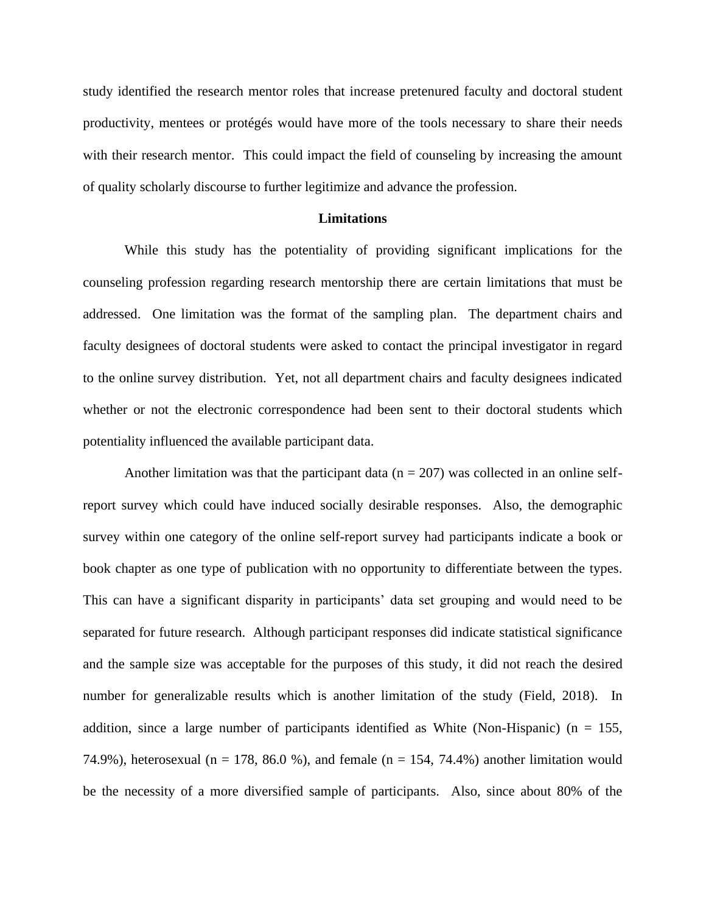study identified the research mentor roles that increase pretenured faculty and doctoral student productivity, mentees or protégés would have more of the tools necessary to share their needs with their research mentor. This could impact the field of counseling by increasing the amount of quality scholarly discourse to further legitimize and advance the profession.

#### **Limitations**

While this study has the potentiality of providing significant implications for the counseling profession regarding research mentorship there are certain limitations that must be addressed. One limitation was the format of the sampling plan. The department chairs and faculty designees of doctoral students were asked to contact the principal investigator in regard to the online survey distribution. Yet, not all department chairs and faculty designees indicated whether or not the electronic correspondence had been sent to their doctoral students which potentiality influenced the available participant data.

Another limitation was that the participant data ( $n = 207$ ) was collected in an online selfreport survey which could have induced socially desirable responses. Also, the demographic survey within one category of the online self-report survey had participants indicate a book or book chapter as one type of publication with no opportunity to differentiate between the types. This can have a significant disparity in participants' data set grouping and would need to be separated for future research. Although participant responses did indicate statistical significance and the sample size was acceptable for the purposes of this study, it did not reach the desired number for generalizable results which is another limitation of the study (Field, 2018). In addition, since a large number of participants identified as White (Non-Hispanic) ( $n = 155$ , 74.9%), heterosexual (n = 178, 86.0 %), and female (n = 154, 74.4%) another limitation would be the necessity of a more diversified sample of participants. Also, since about 80% of the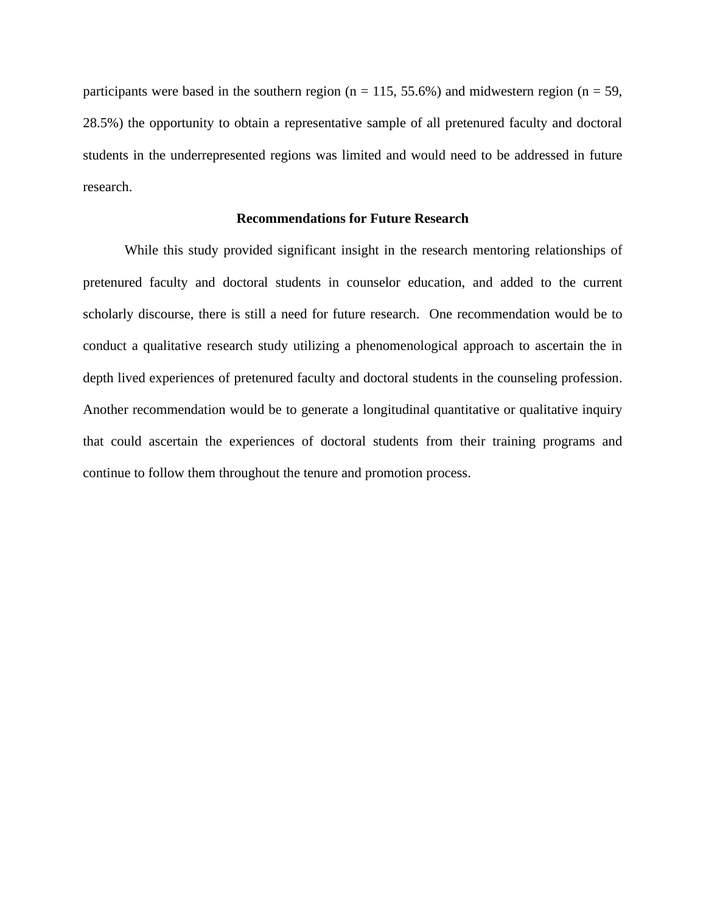participants were based in the southern region ( $n = 115, 55.6\%$ ) and midwestern region ( $n = 59$ , 28.5%) the opportunity to obtain a representative sample of all pretenured faculty and doctoral students in the underrepresented regions was limited and would need to be addressed in future research.

# **Recommendations for Future Research**

While this study provided significant insight in the research mentoring relationships of pretenured faculty and doctoral students in counselor education, and added to the current scholarly discourse, there is still a need for future research. One recommendation would be to conduct a qualitative research study utilizing a phenomenological approach to ascertain the in depth lived experiences of pretenured faculty and doctoral students in the counseling profession. Another recommendation would be to generate a longitudinal quantitative or qualitative inquiry that could ascertain the experiences of doctoral students from their training programs and continue to follow them throughout the tenure and promotion process.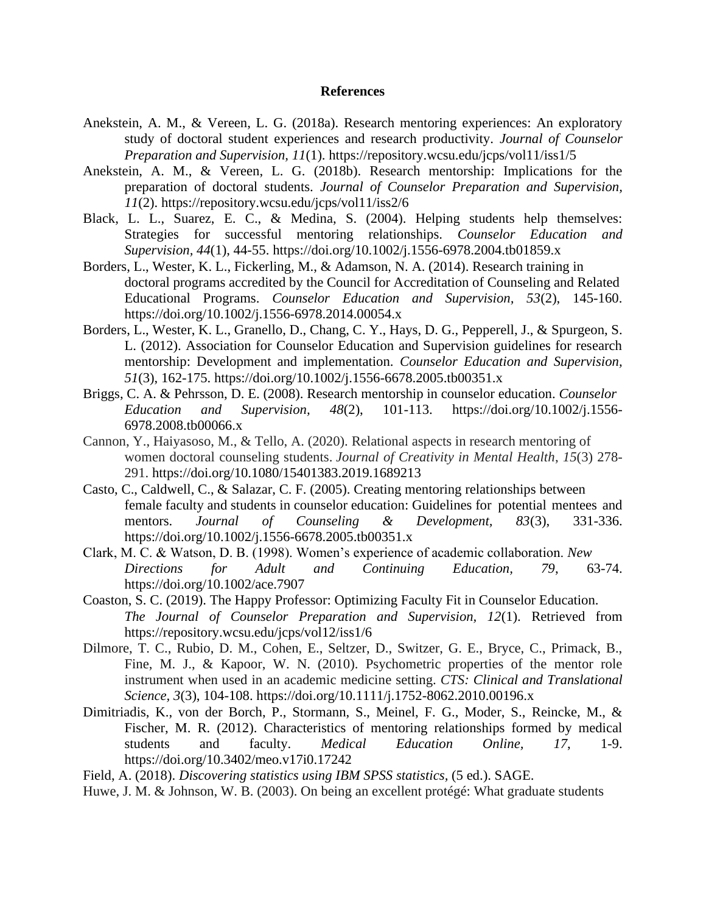#### **References**

- Anekstein, A. M., & Vereen, L. G. (2018a). Research mentoring experiences: An exploratory study of doctoral student experiences and research productivity. *Journal of Counselor Preparation and Supervision, 11*(1). https://repository.wcsu.edu/jcps/vol11/iss1/5
- Anekstein, A. M., & Vereen, L. G. (2018b). Research mentorship: Implications for the preparation of doctoral students. *Journal of Counselor Preparation and Supervision, 11*(2). https://repository.wcsu.edu/jcps/vol11/iss2/6
- Black, L. L., Suarez, E. C., & Medina, S. (2004). Helping students help themselves: Strategies for successful mentoring relationships. *Counselor Education and Supervision, 44*(1), 44-55. <https://doi.org/10.1002/j.1556-6978.2004.tb01859.x>
- Borders, L., Wester, K. L., Fickerling, M., & Adamson, N. A. (2014). Research training in doctoral programs accredited by the Council for Accreditation of Counseling and Related Educational Programs. *Counselor Education and Supervision, 53*(2), 145-160. https://doi.org/10.1002/j.1556-6978.2014.00054.x
- Borders, L., Wester, K. L., Granello, D., Chang, C. Y., Hays, D. G., Pepperell, J., & Spurgeon, S. L. (2012). Association for Counselor Education and Supervision guidelines for research mentorship: Development and implementation. *Counselor Education and Supervision, 51*(3), 162-175.<https://doi.org/10.1002/j.1556-6678.2005.tb00351.x>
- Briggs, C. A. & Pehrsson, D. E. (2008). Research mentorship in counselor education. *Counselor Education and Supervision, 48*(2), 101-113. https://doi.org/10.1002/j.1556- 6978.2008.tb00066.x
- Cannon, Y., Haiyasoso, M., & Tello, A. (2020). Relational aspects in research mentoring of women doctoral counseling students. *Journal of Creativity in Mental Health*, *15*(3) 278- 291. https://doi.org/10.1080/15401383.2019.1689213
- Casto, C., Caldwell, C., & Salazar, C. F. (2005). Creating mentoring relationships between female faculty and students in counselor education: Guidelines for potential mentees and mentors. *Journal of Counseling & Development, 83*(3), 331-336. [https://doi.org/10.1002/j.1556-6678.2005.tb00351.x](https://psycnet.apa.org/doi/10.1002/j.1556-6678.2005.tb00351.x)
- Clark, M. C. & Watson, D. B. (1998). Women's experience of academic collaboration. *New Directions for Adult and Continuing Education, 79*, 63-74. <https://doi.org/10.1002/ace.7907>
- Coaston, S. C. (2019). The Happy Professor: Optimizing Faculty Fit in Counselor Education. *The Journal of Counselor Preparation and Supervision, 12*(1). Retrieved from https://repository.wcsu.edu/jcps/vol12/iss1/6
- Dilmore, T. C., Rubio, D. M., Cohen, E., Seltzer, D., Switzer, G. E., Bryce, C., Primack, B., Fine, M. J., & Kapoor, W. N. (2010). Psychometric properties of the mentor role instrument when used in an academic medicine setting. *CTS: Clinical and Translational Science, 3*(3), 104-108.<https://doi.org/10.1111/j.1752-8062.2010.00196.x>
- Dimitriadis, K., von der Borch, P., Stormann, S., Meinel, F. G., Moder, S., Reincke, M., & Fischer, M. R. (2012). Characteristics of mentoring relationships formed by medical students and faculty. *Medical Education Online, 17*, 1-9. <https://doi.org/10.3402/meo.v17i0.17242>

Field, A. (2018). *Discovering statistics using IBM SPSS statistics,* (5 ed.). SAGE.

Huwe, J. M. & Johnson, W. B. (2003). On being an excellent protégé: What graduate students